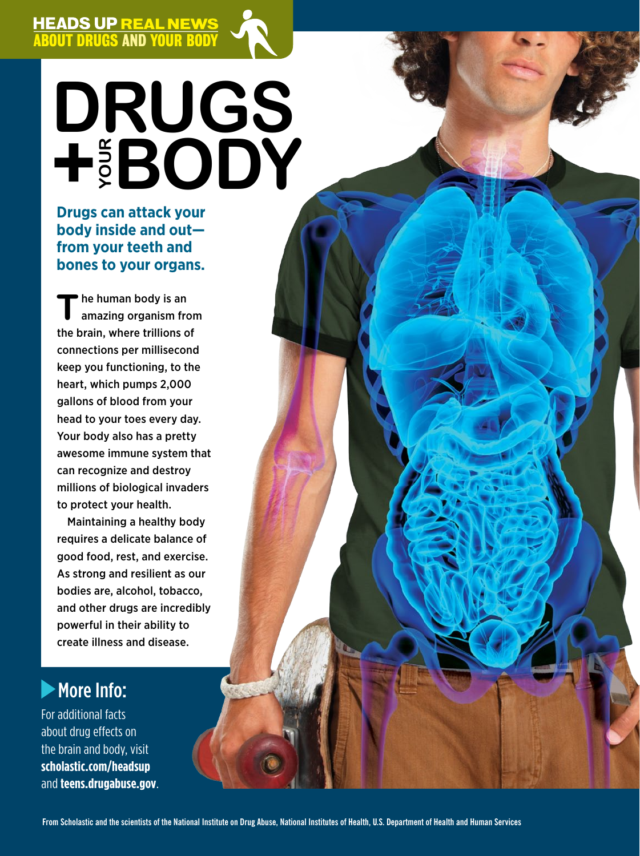

# **Drugs + Your Body**

ABOUT DRUGS AND YOUR BODY HEADS UP REAL NEWS ARE AN INCOME.

#### **Drugs can attack your body inside and out from your teeth and bones to your organs.**

I

I

**T**he human body is an amazing organism from the brain, where trillions of connections per millisecond keep you functioning, to the heart, which pumps 2,000 gallons of blood from your head to your toes every day. Your body also has a pretty awesome immune system that can recognize and destroy millions of biological invaders to protect your health.

Maintaining a healthy body requires a delicate balance of good food, rest, and exercise. As strong and resilient as our bodies are, alcohol, tobacco, and other drugs are incredibly powerful in their ability to create illness and disease.

## **More Info:**

For additional facts about drug effects on the brain and body, visit **scholastic.com/headsup**  and **teens.drugabuse.gov**.